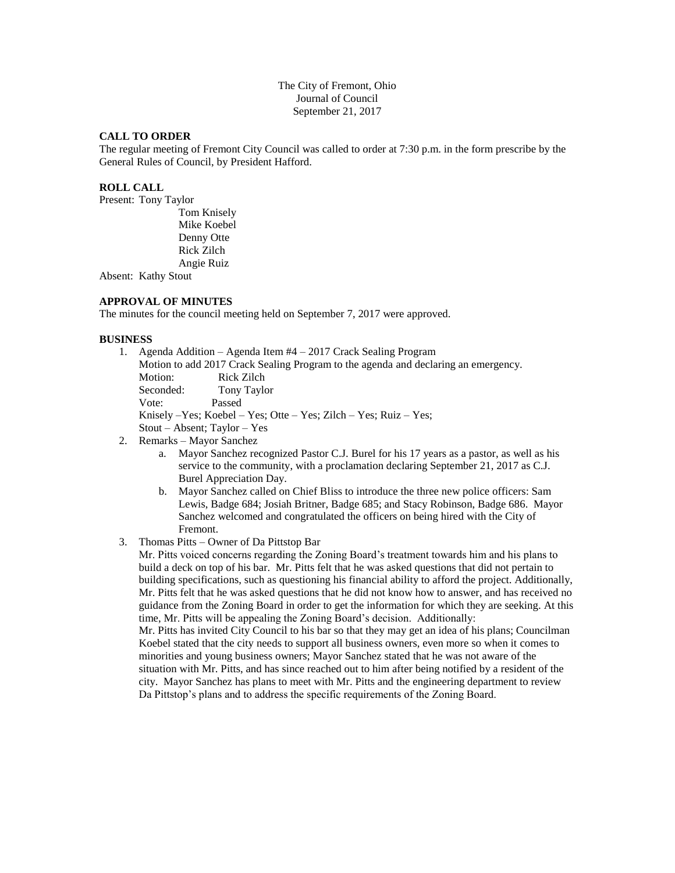The City of Fremont, Ohio Journal of Council September 21, 2017

#### **CALL TO ORDER**

The regular meeting of Fremont City Council was called to order at 7:30 p.m. in the form prescribe by the General Rules of Council, by President Hafford.

#### **ROLL CALL**

Present: Tony Taylor

Tom Knisely Mike Koebel Denny Otte Rick Zilch Angie Ruiz

Absent: Kathy Stout

# **APPROVAL OF MINUTES**

The minutes for the council meeting held on September 7, 2017 were approved.

#### **BUSINESS**

| 1. | Agenda Addition – Agenda Item $#4 - 2017$ Crack Sealing Program<br>Motion to add 2017 Crack Sealing Program to the agenda and declaring an emergency. |                         |  |
|----|-------------------------------------------------------------------------------------------------------------------------------------------------------|-------------------------|--|
|    |                                                                                                                                                       |                         |  |
|    | Motion:                                                                                                                                               | Rick Zilch              |  |
|    | Seconded:                                                                                                                                             | Tony Taylor             |  |
|    | Vote:                                                                                                                                                 | Passed                  |  |
|    | Knisely $-Yes$ ; Koebel – Yes; Otte – Yes; Zilch – Yes; Ruiz – Yes;                                                                                   |                         |  |
|    | $Stout - Absent$ ; Taylor $- Yes$                                                                                                                     |                         |  |
|    |                                                                                                                                                       | Ramarke - Mayor Sanchaz |  |

- 2. Remarks Mayor Sanchez
	- a. Mayor Sanchez recognized Pastor C.J. Burel for his 17 years as a pastor, as well as his service to the community, with a proclamation declaring September 21, 2017 as C.J. Burel Appreciation Day.
	- b. Mayor Sanchez called on Chief Bliss to introduce the three new police officers: Sam Lewis, Badge 684; Josiah Britner, Badge 685; and Stacy Robinson, Badge 686. Mayor Sanchez welcomed and congratulated the officers on being hired with the City of Fremont.
- 3. Thomas Pitts Owner of Da Pittstop Bar

Mr. Pitts voiced concerns regarding the Zoning Board's treatment towards him and his plans to build a deck on top of his bar. Mr. Pitts felt that he was asked questions that did not pertain to building specifications, such as questioning his financial ability to afford the project. Additionally, Mr. Pitts felt that he was asked questions that he did not know how to answer, and has received no guidance from the Zoning Board in order to get the information for which they are seeking. At this time, Mr. Pitts will be appealing the Zoning Board's decision. Additionally:

Mr. Pitts has invited City Council to his bar so that they may get an idea of his plans; Councilman Koebel stated that the city needs to support all business owners, even more so when it comes to minorities and young business owners; Mayor Sanchez stated that he was not aware of the situation with Mr. Pitts, and has since reached out to him after being notified by a resident of the city. Mayor Sanchez has plans to meet with Mr. Pitts and the engineering department to review Da Pittstop's plans and to address the specific requirements of the Zoning Board.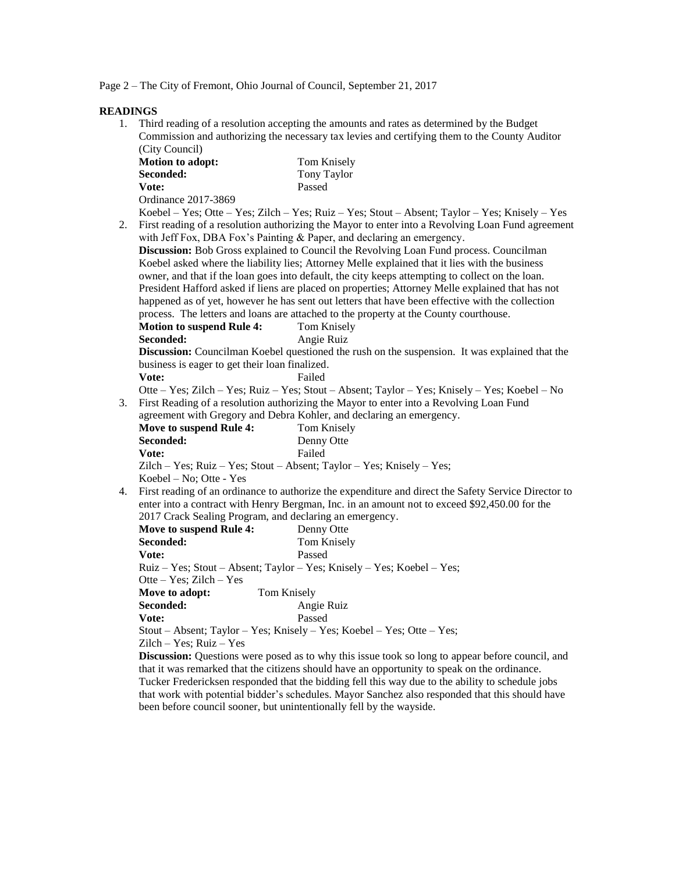Page 2 – The City of Fremont, Ohio Journal of Council, September 21, 2017

**READINGS**

1. Third reading of a resolution accepting the amounts and rates as determined by the Budget Commission and authorizing the necessary tax levies and certifying them to the County Auditor (City Council)

| <b>Motion to adopt:</b> | Tom Knisely |  |
|-------------------------|-------------|--|
| <b>Seconded:</b>        | Tony Taylor |  |
| Vote:                   | Passed      |  |
| Ordinance 2017-3869     |             |  |

Koebel – Yes; Otte – Yes; Zilch – Yes; Ruiz – Yes; Stout – Absent; Taylor – Yes; Knisely – Yes

2. First reading of a resolution authorizing the Mayor to enter into a Revolving Loan Fund agreement with Jeff Fox, DBA Fox's Painting & Paper, and declaring an emergency. **Discussion:** Bob Gross explained to Council the Revolving Loan Fund process. Councilman Koebel asked where the liability lies; Attorney Melle explained that it lies with the business owner, and that if the loan goes into default, the city keeps attempting to collect on the loan. President Hafford asked if liens are placed on properties; Attorney Melle explained that has not happened as of yet, however he has sent out letters that have been effective with the collection

process. The letters and loans are attached to the property at the County courthouse.

| <b>Motion to suspend Rule 4:</b> | Tom Knisely |
|----------------------------------|-------------|
| Seconded:                        | Angie Ruiz  |

**Discussion:** Councilman Koebel questioned the rush on the suspension. It was explained that the business is eager to get their loan finalized. Vote: Failed

Otte – Yes; Zilch – Yes; Ruiz – Yes; Stout – Absent; Taylor – Yes; Knisely – Yes; Koebel – No 3. First Reading of a resolution authorizing the Mayor to enter into a Revolving Loan Fund

agreement with Gregory and Debra Kohler, and declaring an emergency.

| Move to suspend Rule 4:                                                  | Tom Knisely |  |  |
|--------------------------------------------------------------------------|-------------|--|--|
| Seconded:                                                                | Denny Otte  |  |  |
| Vote:                                                                    | Failed      |  |  |
| $Zilch - Yes$ ; Ruiz – Yes; Stout – Absent; Taylor – Yes; Knisely – Yes; |             |  |  |
| Koebel – No; Otte - Yes                                                  |             |  |  |

4. First reading of an ordinance to authorize the expenditure and direct the Safety Service Director to enter into a contract with Henry Bergman, Inc. in an amount not to exceed \$92,450.00 for the 2017 Crack Sealing Program, and declaring an emergency.

| Move to suspend Rule 4:                                                | Denny Otte  |  |  |  |
|------------------------------------------------------------------------|-------------|--|--|--|
| Seconded:                                                              | Tom Knisely |  |  |  |
| Vote:                                                                  | Passed      |  |  |  |
| Ruiz – Yes; Stout – Absent; Taylor – Yes; Knisely – Yes; Koebel – Yes; |             |  |  |  |
| Otte – Yes; Zilch – Yes                                                |             |  |  |  |
| Move to adopt:                                                         | Tom Knisely |  |  |  |
| Seconded:                                                              | Angie Ruiz  |  |  |  |
| Vote:                                                                  | Passed      |  |  |  |
| Stout – Absent; Taylor – Yes; Knisely – Yes; Koebel – Yes; Otte – Yes; |             |  |  |  |
| $Zilch - Yes$ ; Ruiz – Yes                                             |             |  |  |  |

**Discussion:** Questions were posed as to why this issue took so long to appear before council, and that it was remarked that the citizens should have an opportunity to speak on the ordinance. Tucker Fredericksen responded that the bidding fell this way due to the ability to schedule jobs that work with potential bidder's schedules. Mayor Sanchez also responded that this should have been before council sooner, but unintentionally fell by the wayside.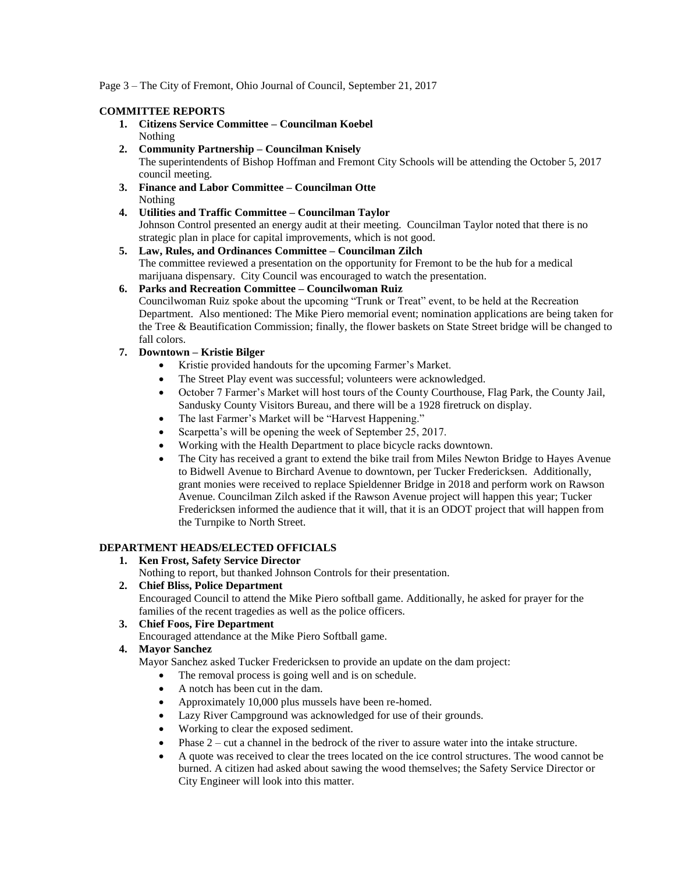Page 3 – The City of Fremont, Ohio Journal of Council, September 21, 2017

#### **COMMITTEE REPORTS**

- **1. Citizens Service Committee – Councilman Koebel** Nothing
- **2. Community Partnership – Councilman Knisely** The superintendents of Bishop Hoffman and Fremont City Schools will be attending the October 5, 2017 council meeting.
- **3. Finance and Labor Committee – Councilman Otte** Nothing
- **4. Utilities and Traffic Committee – Councilman Taylor** Johnson Control presented an energy audit at their meeting. Councilman Taylor noted that there is no strategic plan in place for capital improvements, which is not good.
- **5. Law, Rules, and Ordinances Committee – Councilman Zilch** The committee reviewed a presentation on the opportunity for Fremont to be the hub for a medical marijuana dispensary. City Council was encouraged to watch the presentation.

# **6. Parks and Recreation Committee – Councilwoman Ruiz**

Councilwoman Ruiz spoke about the upcoming "Trunk or Treat" event, to be held at the Recreation Department. Also mentioned: The Mike Piero memorial event; nomination applications are being taken for the Tree & Beautification Commission; finally, the flower baskets on State Street bridge will be changed to fall colors.

# **7. Downtown – Kristie Bilger**

- Kristie provided handouts for the upcoming Farmer's Market.
- The Street Play event was successful; volunteers were acknowledged.
- October 7 Farmer's Market will host tours of the County Courthouse, Flag Park, the County Jail, Sandusky County Visitors Bureau, and there will be a 1928 firetruck on display.
- The last Farmer's Market will be "Harvest Happening."
- Scarpetta's will be opening the week of September 25, 2017.
- Working with the Health Department to place bicycle racks downtown.
- The City has received a grant to extend the bike trail from Miles Newton Bridge to Hayes Avenue to Bidwell Avenue to Birchard Avenue to downtown, per Tucker Fredericksen. Additionally, grant monies were received to replace Spieldenner Bridge in 2018 and perform work on Rawson Avenue. Councilman Zilch asked if the Rawson Avenue project will happen this year; Tucker Fredericksen informed the audience that it will, that it is an ODOT project that will happen from the Turnpike to North Street.

# **DEPARTMENT HEADS/ELECTED OFFICIALS**

# **1. Ken Frost, Safety Service Director**

Nothing to report, but thanked Johnson Controls for their presentation.

#### **2. Chief Bliss, Police Department**

Encouraged Council to attend the Mike Piero softball game. Additionally, he asked for prayer for the families of the recent tragedies as well as the police officers.

#### **3. Chief Foos, Fire Department**

Encouraged attendance at the Mike Piero Softball game.

# **4. Mayor Sanchez**

Mayor Sanchez asked Tucker Fredericksen to provide an update on the dam project:

- The removal process is going well and is on schedule.
- A notch has been cut in the dam.
- Approximately 10,000 plus mussels have been re-homed.
- Lazy River Campground was acknowledged for use of their grounds.
- Working to clear the exposed sediment.
- $\bullet$  Phase 2 cut a channel in the bedrock of the river to assure water into the intake structure.
- A quote was received to clear the trees located on the ice control structures. The wood cannot be burned. A citizen had asked about sawing the wood themselves; the Safety Service Director or City Engineer will look into this matter.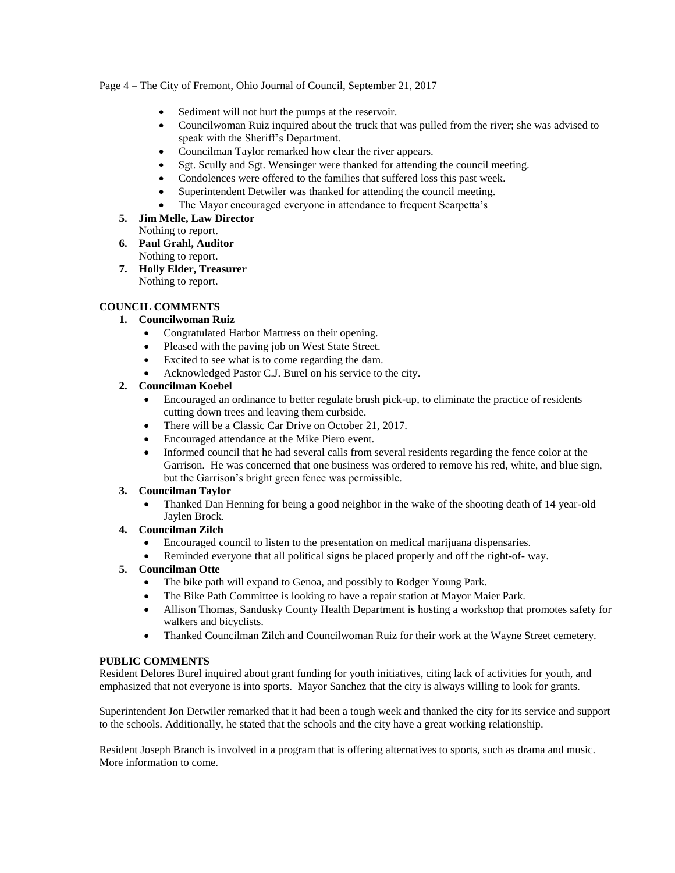Page 4 – The City of Fremont, Ohio Journal of Council, September 21, 2017

- Sediment will not hurt the pumps at the reservoir.
- Councilwoman Ruiz inquired about the truck that was pulled from the river; she was advised to speak with the Sheriff's Department.
- Councilman Taylor remarked how clear the river appears.
- Sgt. Scully and Sgt. Wensinger were thanked for attending the council meeting.
- Condolences were offered to the families that suffered loss this past week.
- Superintendent Detwiler was thanked for attending the council meeting.
- The Mayor encouraged everyone in attendance to frequent Scarpetta's
- **5. Jim Melle, Law Director** Nothing to report.
- **6. Paul Grahl, Auditor** Nothing to report.
- **7. Holly Elder, Treasurer** Nothing to report.

### **COUNCIL COMMENTS**

### **1. Councilwoman Ruiz**

- Congratulated Harbor Mattress on their opening.
- Pleased with the paving job on West State Street.
- Excited to see what is to come regarding the dam.
- Acknowledged Pastor C.J. Burel on his service to the city.

### **2. Councilman Koebel**

- Encouraged an ordinance to better regulate brush pick-up, to eliminate the practice of residents cutting down trees and leaving them curbside.
- There will be a Classic Car Drive on October 21, 2017.
- Encouraged attendance at the Mike Piero event.
- Informed council that he had several calls from several residents regarding the fence color at the Garrison. He was concerned that one business was ordered to remove his red, white, and blue sign, but the Garrison's bright green fence was permissible.

#### **3. Councilman Taylor**

 Thanked Dan Henning for being a good neighbor in the wake of the shooting death of 14 year-old Jaylen Brock.

#### **4. Councilman Zilch**

- Encouraged council to listen to the presentation on medical marijuana dispensaries.
- Reminded everyone that all political signs be placed properly and off the right-of- way.

#### **5. Councilman Otte**

- The bike path will expand to Genoa, and possibly to Rodger Young Park.
- The Bike Path Committee is looking to have a repair station at Mayor Maier Park.
- Allison Thomas, Sandusky County Health Department is hosting a workshop that promotes safety for walkers and bicyclists.
- Thanked Councilman Zilch and Councilwoman Ruiz for their work at the Wayne Street cemetery.

#### **PUBLIC COMMENTS**

Resident Delores Burel inquired about grant funding for youth initiatives, citing lack of activities for youth, and emphasized that not everyone is into sports. Mayor Sanchez that the city is always willing to look for grants.

Superintendent Jon Detwiler remarked that it had been a tough week and thanked the city for its service and support to the schools. Additionally, he stated that the schools and the city have a great working relationship.

Resident Joseph Branch is involved in a program that is offering alternatives to sports, such as drama and music. More information to come.